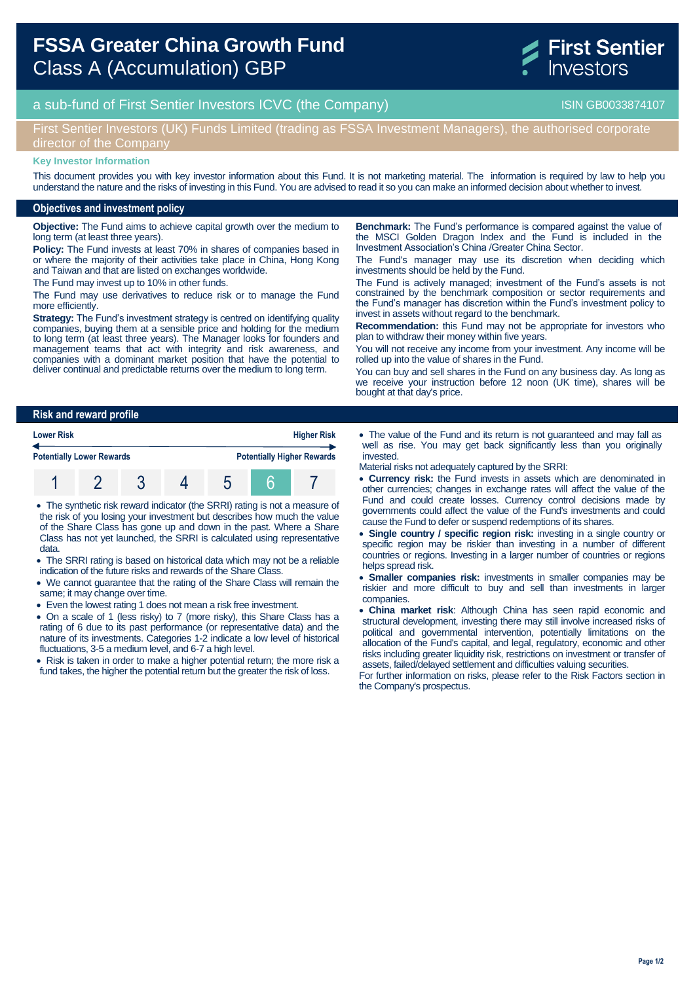

# a sub-fund of First Sentier Investors ICVC (the Company) and the Company ISIN GB0033874107

### First Sentier Investors (UK) Funds Limited (trading as FSSA Investment Managers), the authorised corporate director of the Company

#### **Key Investor Information**

This document provides you with key investor information about this Fund. It is not marketing material. The information is required by law to help you understand the nature and the risks of investing in this Fund. You are advised to read it so you can make an informed decision about whether to invest.

### **Objectives and investment policy**

**Objective:** The Fund aims to achieve capital growth over the medium to long term (at least three years).

**Policy:** The Fund invests at least 70% in shares of companies based in or where the majority of their activities take place in China, Hong Kong and Taiwan and that are listed on exchanges worldwide.

The Fund may invest up to 10% in other funds.

The Fund may use derivatives to reduce risk or to manage the Fund more efficiently.

**Strategy:** The Fund's investment strategy is centred on identifying quality companies, buying them at a sensible price and holding for the medium to long term (at least three years). The Manager looks for founders and management teams that act with integrity and risk awareness, and companies with a dominant market position that have the potential to deliver continual and predictable returns over the medium to long term.

**Benchmark:** The Fund's performance is compared against the value of the MSCI Golden Dragon Index and the Fund is included in the Investment Association's China /Greater China Sector.

The Fund's manager may use its discretion when deciding which investments should be held by the Fund.

The Fund is actively managed; investment of the Fund's assets is not constrained by the benchmark composition or sector requirements and the Fund's manager has discretion within the Fund's investment policy to invest in assets without regard to the benchmark.

**Recommendation:** this Fund may not be appropriate for investors who plan to withdraw their money within five years.

You will not receive any income from your investment. Any income will be rolled up into the value of shares in the Fund.

You can buy and sell shares in the Fund on any business day. As long as we receive your instruction before 12 noon (UK time), shares will be bought at that day's price.

#### **Risk and reward profile**

| <b>Lower Risk</b><br><b>Potentially Lower Rewards</b> |  |  |  | <b>Higher Risk</b> |                                   |  |
|-------------------------------------------------------|--|--|--|--------------------|-----------------------------------|--|
|                                                       |  |  |  |                    | <b>Potentially Higher Rewards</b> |  |
|                                                       |  |  |  |                    |                                   |  |

 The synthetic risk reward indicator (the SRRI) rating is not a measure of the risk of you losing your investment but describes how much the value of the Share Class has gone up and down in the past. Where a Share Class has not yet launched, the SRRI is calculated using representative data.

- The SRRI rating is based on historical data which may not be a reliable indication of the future risks and rewards of the Share Class.
- We cannot guarantee that the rating of the Share Class will remain the same; it may change over time.
- Even the lowest rating 1 does not mean a risk free investment.
- On a scale of 1 (less risky) to 7 (more risky), this Share Class has a rating of 6 due to its past performance (or representative data) and the nature of its investments. Categories 1-2 indicate a low level of historical fluctuations, 3-5 a medium level, and 6-7 a high level.

• Risk is taken in order to make a higher potential return; the more risk a fund takes, the higher the potential return but the greater the risk of loss.

 The value of the Fund and its return is not guaranteed and may fall as well as rise. You may get back significantly less than you originally invested.

Material risks not adequately captured by the SRRI:

- **Currency risk:** the Fund invests in assets which are denominated in other currencies; changes in exchange rates will affect the value of the Fund and could create losses. Currency control decisions made by governments could affect the value of the Fund's investments and could cause the Fund to defer or suspend redemptions of its shares.
- **Single country / specific region risk:** investing in a single country or specific region may be riskier than investing in a number of different countries or regions. Investing in a larger number of countries or regions helps spread risk.
- **Smaller companies risk:** investments in smaller companies may be riskier and more difficult to buy and sell than investments in larger companies.
- **China market risk**: Although China has seen rapid economic and structural development, investing there may still involve increased risks of political and governmental intervention, potentially limitations on the allocation of the Fund's capital, and legal, regulatory, economic and other risks including greater liquidity risk, restrictions on investment or transfer of assets, failed/delayed settlement and difficulties valuing securities.

For further information on risks, please refer to the Risk Factors section in the Company's prospectus.